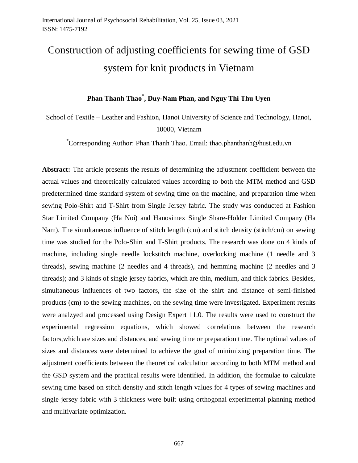# Construction of adjusting coefficients for sewing time of GSD system for knit products in Vietnam

## **Phan Thanh Thao\* , Duy-Nam Phan, and Nguy Thi Thu Uyen**

School of Textile – Leather and Fashion, Hanoi University of Science and Technology, Hanoi, 10000, Vietnam

\*Corresponding Author: Phan Thanh Thao. Email: thao.phanthanh@hust.edu.vn

**Abstract:** The article presents the results of determining the adjustment coefficient between the actual values and theoretically calculated values according to both the MTM method and GSD predetermined time standard system of sewing time on the machine, and preparation time when sewing Polo-Shirt and T-Shirt from Single Jersey fabric. The study was conducted at Fashion Star Limited Company (Ha Noi) and Hanosimex Single Share-Holder Limited Company (Ha Nam). The simultaneous influence of stitch length (cm) and stitch density (stitch/cm) on sewing time was studied for the Polo-Shirt and T-Shirt products. The research was done on 4 kinds of machine, including single needle lockstitch machine, overlocking machine (1 needle and 3 threads), sewing machine (2 needles and 4 threads), and hemming machine (2 needles and 3 threads); and 3 kinds of single jersey fabrics, which are thin, medium, and thick fabrics. Besides, simultaneous influences of two factors, the size of the shirt and distance of semi-finished products (cm) to the sewing machines, on the sewing time were investigated. Experiment results were analzyed and processed using Design Expert 11.0. The results were used to construct the experimental regression equations, which showed correlations between the research factors,which are sizes and distances, and sewing time or preparation time. The optimal values of sizes and distances were determined to achieve the goal of minimizing preparation time. The adjustment coefficients between the theoretical calculation according to both MTM method and the GSD system and the practical results were identified. In addition, the formulae to calculate sewing time based on stitch density and stitch length values for 4 types of sewing machines and single jersey fabric with 3 thickness were built using orthogonal experimental planning method and multivariate optimization.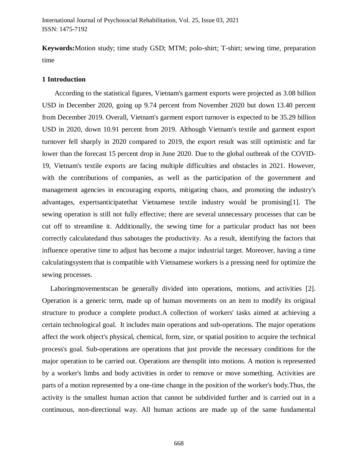**Keywords:**Motion study; time study GSD; MTM; polo-shirt; T-shirt; sewing time, preparation time

## **1 Introduction**

According to the statistical figures, Vietnam's garment exports were projected as 3.08 billion USD in December 2020, going up 9.74 percent from November 2020 but down 13.40 percent from December 2019. Overall, Vietnam's garment export turnover is expected to be 35.29 billion USD in 2020, down 10.91 percent from 2019. Although Vietnam's textile and garment export turnover fell sharply in 2020 compared to 2019, the export result was still optimistic and far lower than the forecast 15 percent drop in June 2020. Due to the global outbreak of the COVID-19, Vietnam's textile exports are facing multiple difficulties and obstacles in 2021. However, with the contributions of companies, as well as the participation of the government and management agencies in encouraging exports, mitigating chaos, and promoting the industry's advantages, expertsanticipatethat Vietnamese textile industry would be promising[1]. The sewing operation is still not fully effective; there are several unnecessary processes that can be cut off to streamline it. Additionally, the sewing time for a particular product has not been correctly calculatedand thus sabotages the productivity. As a result, identifying the factors that influence operative time to adjust has become a major industrial target. Moreover, having a time calculatingsystem that is compatible with Vietnamese workers is a pressing need for optimize the sewing processes.

Laboringmovementscan be generally divided into operations, motions, and activities [2]. Operation is a generic term, made up of human movements on an item to modify its original structure to produce a complete product.A collection of workers' tasks aimed at achieving a certain technological goal. It includes main operations and sub-operations. The major operations affect the work object's physical, chemical, form, size, or spatial position to acquire the technical process's goal. Sub-operations are operations that just provide the necessary conditions for the major operation to be carried out. Operations are thensplit into motions. A motion is represented by a worker's limbs and body activities in order to remove or move something. Activities are parts of a motion represented by a one-time change in the position of the worker's body.Thus, the activity is the smallest human action that cannot be subdivided further and is carried out in a continuous, non-directional way. All human actions are made up of the same fundamental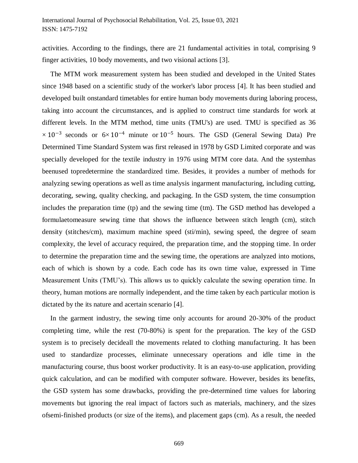activities. According to the findings, there are 21 fundamental activities in total, comprising 9 finger activities, 10 body movements, and two visional actions [3].

The MTM work measurement system has been studied and developed in the United States since 1948 based on a scientific study of the worker's labor process [4]. It has been studied and developed built onstandard timetables for entire human body movements during laboring process, taking into account the circumstances, and is applied to construct time standards for work at different levels. In the MTM method, time units (TMU's) are used. TMU is specified as 36  $\times 10^{-3}$  seconds or  $6\times 10^{-4}$  minute or  $10^{-5}$  hours. The GSD (General Sewing Data) Pre Determined Time Standard System was first released in 1978 by GSD Limited corporate and was specially developed for the textile industry in 1976 using MTM core data. And the systemhas beenused topredetermine the standardized time. Besides, it provides a number of methods for analyzing sewing operations as well as time analysis ingarment manufacturing, including cutting, decorating, sewing, quality checking, and packaging. In the GSD system, the time consumption includes the preparation time (tp) and the sewing time (tm). The GSD method has developed a formulaetomeasure sewing time that shows the influence between stitch length (cm), stitch density (stitches/cm), maximum machine speed (sti/min), sewing speed, the degree of seam complexity, the level of accuracy required, the preparation time, and the stopping time. In order to determine the preparation time and the sewing time, the operations are analyzed into motions, each of which is shown by a code. Each code has its own time value, expressed in Time Measurement Units (TMU's). This allows us to quickly calculate the sewing operation time. In theory, human motions are normally independent, and the time taken by each particular motion is dictated by the its nature and acertain scenario [4].

In the garment industry, the sewing time only accounts for around 20-30% of the product completing time, while the rest (70-80%) is spent for the preparation. The key of the GSD system is to precisely decideall the movements related to clothing manufacturing. It has been used to standardize processes, eliminate unnecessary operations and idle time in the manufacturing course, thus boost worker productivity. It is an easy-to-use application, providing quick calculation, and can be modified with computer software. However, besides its benefits, the GSD system has some drawbacks, providing the pre-determined time values for laboring movements but ignoring the real impact of factors such as materials, machinery, and the sizes ofsemi-finished products (or size of the items), and placement gaps (cm). As a result, the needed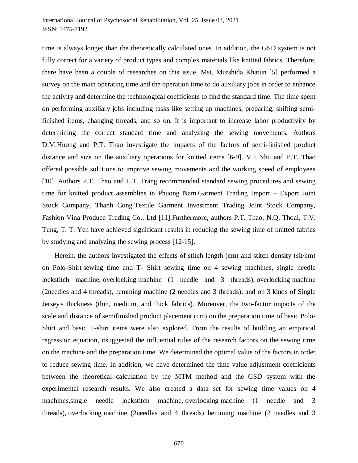time is always longer than the theoretically calculated ones. In addition, the GSD system is not fully correct for a variety of product types and complex materials like knitted fabrics. Therefore, there have been a couple of researches on this issue. Mst. Murshida Khatun [5] performed a survey on the main operating time and the operation time to do auxiliary jobs in order to enhance the activity and determine the technological coefficients to find the standard time. The time spent on performing auxiliary jobs including tasks like setting up machines, preparing, shifting semifinished items, changing threads, and so on. It is important to increase labor productivity by determining the correct standard time and analyzing the sewing movements. Authors D.M.Huong and P.T. Thao investigate the impacts of the factors of semi-finished product distance and size on the auxiliary operations for knitted items [6-9]. V.T.Nhu and P.T. Thao offered possible solutions to improve sewing movements and the working speed of employees [10]. Authors P.T. Thao and L.T. Trang recommended standard sewing procedures and sewing time for knitted product assemblies in Phuong Nam Garment Trading Import – Export Joint Stock Company, Thanh Cong Textile Garment Investment Trading Joint Stock Company, Fashion Vina Produce Trading Co., Ltd [11].Furthermore, authors P.T. Thao, N.Q. Thoai, T.V. Tung, T. T. Yen have achieved significant results in reducing the sewing time of knitted fabrics by studying and analyzing the sewing process [12-15].

Herein, the authors investigated the effects of stitch length (cm) and stitch density (sit/cm) on Polo-Shirt sewing time and T- Shirt sewing time on 4 sewing machines, single needle lockstitch machine, overlocking machine (1 needle and 3 threads), overlocking machine (2needles and 4 threads), hemming machine (2 needles and 3 threads); and on 3 kinds of Single Jersey's thickness (thin, medium, and thick fabrics). Moreover, the two-factor impacts of the scale and distance of semifinished product placement (cm) on the preparation time of basic Polo-Shirt and basic T-shirt items were also explored. From the results of building an empirical regression equation, itsuggested the influential rules of the research factors on the sewing time on the machine and the preparation time. We determined the optimal value of the factors in order to reduce sewing time. In addition, we have determined the time value adjustment coefficients between the theoretical calculation by the MTM method and the GSD system with the experimental research results. We also created a data set for sewing time values on 4 machines,single needle lockstitch machine, overlocking machine (1 needle and 3 threads), overlocking machine (2needles and 4 threads), hemming machine (2 needles and 3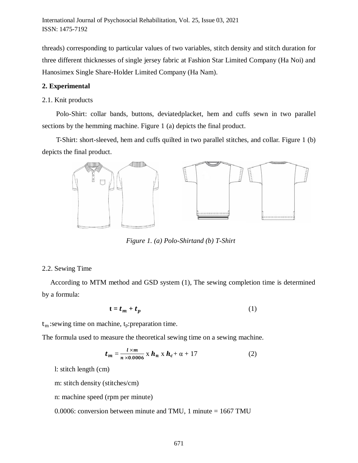threads) corresponding to particular values of two variables, stitch density and stitch duration for three different thicknesses of single jersey fabric at Fashion Star Limited Company (Ha Noi) and Hanosimex Single Share-Holder Limited Company (Ha Nam).

### **2. Experimental**

#### 2.1. Knit products

Polo-Shirt: collar bands, buttons, deviatedplacket, hem and cuffs sewn in two parallel sections by the hemming machine. Figure 1 (a) depicts the final product.

T-Shirt: short-sleeved, hem and cuffs quilted in two parallel stitches, and collar. Figure 1 (b) depicts the final product.



*Figure 1. (a) Polo-Shirtand (b) T-Shirt*

#### 2.2. Sewing Time

According to MTM method and GSD system (1), The sewing completion time is determined by a formula:

$$
\mathbf{t} = \mathbf{t}_m + \mathbf{t}_p \tag{1}
$$

 $t_m$ : sewing time on machine,  $t_p$ : preparation time.

The formula used to measure the theoretical sewing time on a sewing machine.

$$
t_m = \frac{l \times m}{n \times 0.0006} \times h_n \times h_c + \alpha + 17
$$
 (2)

l: stitch length (cm)

m: stitch density (stitches/cm)

n: machine speed (rpm per minute)

0.0006: conversion between minute and TMU, 1 minute = 1667 TMU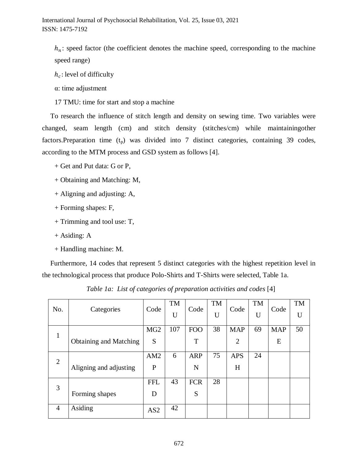$h_n$ : speed factor (the coefficient denotes the machine speed, corresponding to the machine speed range)

 $h_c$ : level of difficulty

α: time adjustment

17 TMU: time for start and stop a machine

To research the influence of stitch length and density on sewing time. Two variables were changed, seam length (cm) and stitch density (stitches/cm) while maintainingother factors. Preparation time  $(t_p)$  was divided into 7 distinct categories, containing 39 codes, according to the MTM process and GSD system as follows [4].

- + Get and Put data: G or P,
- + Obtaining and Matching: M,
- + Aligning and adjusting: A,
- + Forming shapes: F,
- + Trimming and tool use: T,
- + Asiding: A
- + Handling machine: M.

Furthermore, 14 codes that represent 5 distinct categories with the highest repetition level in the technological process that produce Polo-Shirts and T-Shirts were selected, Table 1a.

| No.            | Categories                    | Code            | TM  | Code       | <b>TM</b> | Code           | TM | Code       | <b>TM</b> |
|----------------|-------------------------------|-----------------|-----|------------|-----------|----------------|----|------------|-----------|
|                |                               |                 | U   |            | U         |                | U  |            | U         |
| 1              |                               | MG <sub>2</sub> | 107 | <b>FOO</b> | 38        | <b>MAP</b>     | 69 | <b>MAP</b> | 50        |
|                | <b>Obtaining and Matching</b> | S               |     | T          |           | $\overline{2}$ |    | E          |           |
| 2              |                               | AM2             | 6   | <b>ARP</b> | 75        | <b>APS</b>     | 24 |            |           |
|                | Aligning and adjusting        | $\mathbf P$     |     | N          |           | H              |    |            |           |
| 3              |                               | <b>FFL</b>      | 43  | <b>FCR</b> | 28        |                |    |            |           |
|                | Forming shapes                | D               |     | S          |           |                |    |            |           |
| $\overline{4}$ | Asiding                       | AS <sub>2</sub> | 42  |            |           |                |    |            |           |

*Table 1a: List of categories of preparation activities and codes* [4]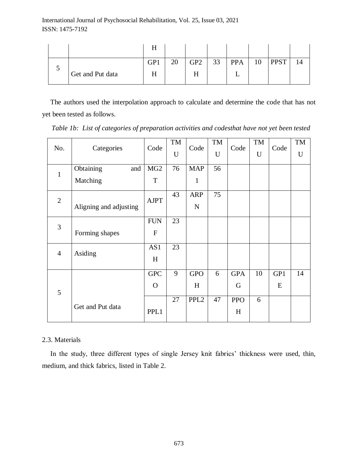|   |                  | п   |    |                 |    |            |    |             |  |
|---|------------------|-----|----|-----------------|----|------------|----|-------------|--|
|   |                  | GP1 | 20 | GP <sub>2</sub> | 33 | <b>PPA</b> | 10 | <b>PPST</b> |  |
| ◡ | Get and Put data | п   |    | л               |    |            |    |             |  |

The authors used the interpolation approach to calculate and determine the code that has not yet been tested as follows.

*Table 1b: List of categories of preparation activities and codesthat have not yet been tested*

| No.                    |                  | Code            | <b>TM</b> | Code             | TM | Code       | TM | Code | TM |
|------------------------|------------------|-----------------|-----------|------------------|----|------------|----|------|----|
|                        | Categories       |                 | U         |                  | U  |            | U  |      | U  |
| $\mathbf{1}$           | Obtaining<br>and | MG <sub>2</sub> | 76        | <b>MAP</b>       | 56 |            |    |      |    |
|                        | Matching         | T               |           | $\mathbf{1}$     |    |            |    |      |    |
| $\overline{2}$         |                  | <b>AJPT</b>     | 43        | <b>ARP</b>       | 75 |            |    |      |    |
| Aligning and adjusting |                  |                 |           | ${\bf N}$        |    |            |    |      |    |
| $\overline{3}$         |                  | <b>FUN</b>      | 23        |                  |    |            |    |      |    |
|                        | Forming shapes   | $\mathbf{F}$    |           |                  |    |            |    |      |    |
| $\overline{4}$         | Asiding          | AS1             | 23        |                  |    |            |    |      |    |
|                        |                  | H               |           |                  |    |            |    |      |    |
|                        |                  | <b>GPC</b>      | 9         | <b>GPO</b>       | 6  | <b>GPA</b> | 10 | GP1  | 14 |
| 5                      |                  | $\Omega$        |           | H                |    | G          |    | E    |    |
|                        |                  |                 | 27        | PPL <sub>2</sub> | 47 | <b>PPO</b> | 6  |      |    |
|                        | Get and Put data | PPL1            |           |                  |    | H          |    |      |    |

## 2.3. Materials

In the study, three different types of single Jersey knit fabrics' thickness were used, thin, medium, and thick fabrics, listed in Table 2.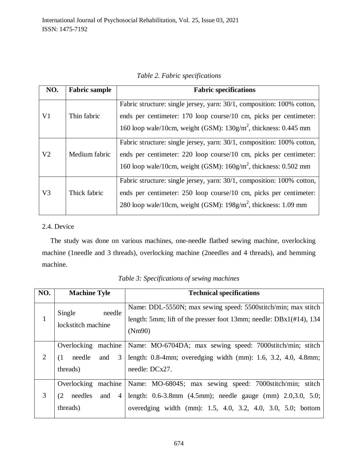*Table 2. Fabric specifications*

| NO.            | <b>Fabric sample</b> | <b>Fabric specifications</b>                                                                                                                                                                                      |
|----------------|----------------------|-------------------------------------------------------------------------------------------------------------------------------------------------------------------------------------------------------------------|
| V1             | Thin fabric          | Fabric structure: single jersey, yarn: 30/1, composition: 100% cotton,<br>ends per centimeter: 170 loop course/10 cm, picks per centimeter:<br>160 loop wale/10cm, weight (GSM): $130g/m^2$ , thickness: 0.445 mm |
| V <sub>2</sub> | Medium fabric        | Fabric structure: single jersey, yarn: 30/1, composition: 100% cotton,<br>ends per centimeter: 220 loop course/10 cm, picks per centimeter:<br>160 loop wale/10cm, weight (GSM): $160g/m^2$ , thickness: 0.502 mm |
| V <sub>3</sub> | Thick fabric         | Fabric structure: single jersey, yarn: 30/1, composition: 100% cotton,<br>ends per centimeter: 250 loop course/10 cm, picks per centimeter:<br>280 loop wale/10cm, weight (GSM): $198g/m^2$ , thickness: 1.09 mm  |

## 2.4. Device

The study was done on various machines, one-needle flatbed sewing machine, overlocking machine (1needle and 3 threads), overlocking machine (2needles and 4 threads), and hemming machine.

| NO. | <b>Machine Tyle</b>                                                           | <b>Technical specifications</b>                                                                                                                                                                     |
|-----|-------------------------------------------------------------------------------|-----------------------------------------------------------------------------------------------------------------------------------------------------------------------------------------------------|
| 1   | Single<br>needle<br>lockstitch machine                                        | Name: DDL-5550N; max sewing speed: 5500stitch/min; max stitch<br>length: 5mm; lift of the presser foot 13mm; needle: $DBx1(\text{\#}14)$ , 134<br>(Nm90)                                            |
| 2   | Overlocking<br>machine<br>needle<br>3<br>(1)<br>and<br>threads)               | Name: MO-6704DA; max sewing speed: 7000stitch/min; stitch<br>length: $0.8-4$ mm; overedging width (mm): $1.6$ , $3.2$ , $4.0$ , $4.8$ mm;<br>needle: $DCx27$ .                                      |
| 3   | Overlocking<br>machine<br>needles<br>(2)<br>and<br>$\overline{4}$<br>threads) | Name: MO-6804S; max sewing speed: 7000stitch/min; stitch<br>length: $0.6-3.8$ mm $(4.5$ mm); needle gauge $(mm)$ $2.0,3.0$ , $5.0$ ;<br>overedging width (mm): 1.5, 4.0, 3.2, 4.0, 3.0, 5.0; bottom |

*Table 3: Specifications of sewing machines*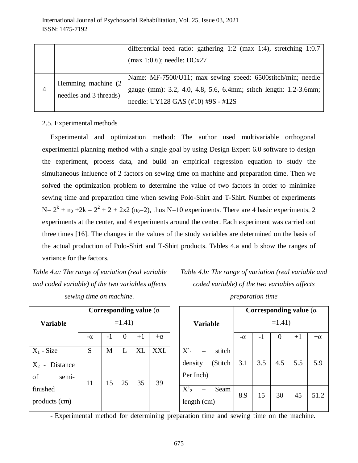|   |                                               | differential feed ratio: gathering 1:2 (max 1:4), stretching 1:0.7                                                                                                    |
|---|-----------------------------------------------|-----------------------------------------------------------------------------------------------------------------------------------------------------------------------|
|   |                                               | $(max 1:0.6)$ ; needle: $DCx27$                                                                                                                                       |
| 4 | Hemming machine (2)<br>needles and 3 threads) | Name: MF-7500/U11; max sewing speed: 6500stitch/min; needle<br>gauge (mm): 3.2, 4.0, 4.8, 5.6, 6.4mm; stitch length: 1.2-3.6mm;<br>needle: UY128 GAS (#10) #9S - #12S |

## 2.5. Experimental methods

Experimental and optimization method: The author used multivariable orthogonal experimental planning method with a single goal by using Design Expert 6.0 software to design the experiment, process data, and build an empirical regression equation to study the simultaneous influence of 2 factors on sewing time on machine and preparation time. Then we solved the optimization problem to determine the value of two factors in order to minimize sewing time and preparation time when sewing Polo-Shirt and T-Shirt. Number of experiments  $N = 2^{k} + n_0 + 2k = 2^{2} + 2 + 2x^{2}$  ( $n_0 = 2$ ), thus N=10 experiments. There are 4 basic experiments, 2 experiments at the center, and 4 experiments around the center. Each experiment was carried out three times [16]. The changes in the values of the study variables are determined on the basis of the actual production of Polo-Shirt and T-Shirt products. Tables 4.a and b show the ranges of variance for the factors.

*Table 4.a: The range of variation (real variable and coded variable) of the two variables affects sewing time on machine.*

*Table 4.b: The range of variation (real variable and coded variable) of the two variables affects preparation time*

|                                    |           |      |          | Corresponding value ( $\alpha$ ) |                 |                                 | Corresponding value ( $\alpha$ ) |     |          |      |           |
|------------------------------------|-----------|------|----------|----------------------------------|-----------------|---------------------------------|----------------------------------|-----|----------|------|-----------|
| <b>Variable</b>                    | $=1.41$   |      |          |                                  | <b>Variable</b> | $=1.41$                         |                                  |     |          |      |           |
|                                    | $-\alpha$ | $-1$ | $\Omega$ | $+1$                             | $+\alpha$       |                                 | $-\alpha$                        | -1  | $\theta$ | $+1$ | $+\alpha$ |
| $X_1$ - Size                       | S         | M    | L        | XL                               | <b>XXL</b>      | X <sub>1</sub><br>stitch        |                                  |     |          |      |           |
| $X_2$ -<br>Distance<br>of<br>semi- | 11        | 15   | 25       | 35                               | 39              | (Stitch<br>density<br>Per Inch) | 3.1                              | 3.5 | 4.5      | 5.5  | 5.9       |
| finished<br>products (cm)          |           |      |          |                                  |                 | $X'_2$<br>Seam<br>length $(cm)$ | 8.9                              | 15  | 30       | 45   | 51.2      |

- Experimental method for determining preparation time and sewing time on the machine.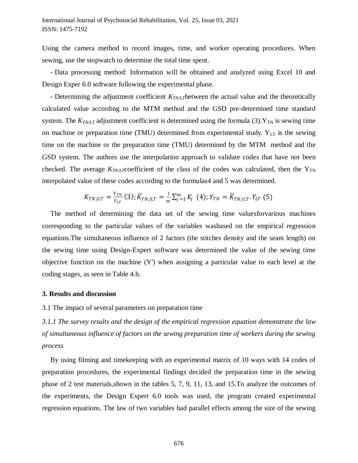Using the camera method to record images, time, and worker operating procedures. When sewing, use the stopwatch to determine the total time spent.

- Data processing method: Information will be obtained and analyzed using Excel 10 and Design Exper 6.0 software following the experimental phase.

- Determining the adjustment coefficient  $K_{TNT}$  between the actual value and the theoretically calculated value according to the MTM method and the GSD pre-determined time standard system. The  $K_{TNLT}$  adjustment coefficient is determined using the formula (3).  $Y_{TN}$  is sewing time on machine or preparation time (TMU) determined from experimental study.  $Y_{LT}$  is the sewing time on the machine or the preparation time (TMU) determined by the MTM method and the GSD system. The authors use the interpolation approach to validate codes that have not been checked. The average  $K_{TNLT}$ coefficient of the class of the codes was calculated, then the  $Y_{TN}$ interpolated value of these codes according to the formulas4 and 5 was determined.

$$
K_{TN/LT} = \frac{Y_{TN}}{Y_{LT}}(3); \overline{K}_{TN/LT} = \frac{1}{m} \sum_{j=1}^{m} K_j \quad (4); Y_{TN} = \overline{K}_{TN/LT}. Y_{LT} (5)
$$

The method of determining the data set of the sewing time valuesforvarious machines corresponding to the particular values of the variables wasbased on the empirical regression equations.The simultaneous influence of 2 factors (the stitches density and the seam length) on the sewing time using Design-Expert software was determined the value of the sewing time objective function on the machine (Y') when assigning a particular value to each level at the coding stages, as seen in Table 4.b.

### **3. Results and discussion**

3.1 The impact of several parameters on preparation time

*3.1.1 The survey results and the design of the empirical regression equation demonstrate the law of simultaneous influence of factors on the sewing preparation time of workers during the sewing process*

By using filming and timekeeping with an experimental matrix of 10 ways with 14 codes of preparation procedures, the experimental findings decided the preparation time in the sewing phase of 2 test materials,shown in the tables 5, 7, 9, 11, 13, and 15.To analyze the outcomes of the experiments, the Design Expert 6.0 tools was used, the program created experimental regression equations. The law of two variables had parallel effects among the size of the sewing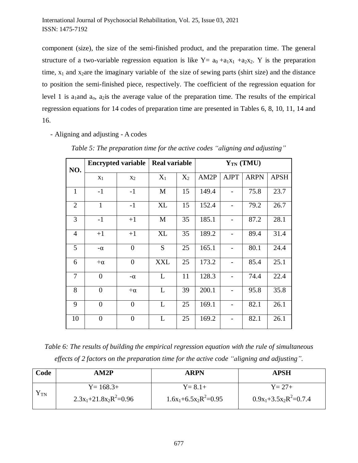component (size), the size of the semi-finished product, and the preparation time. The general structure of a two-variable regression equation is like  $Y = a_0 + a_1x_1 + a_2x_2$ . Y is the preparation time,  $x_1$  and  $x_2$  are the imaginary variable of the size of sewing parts (shirt size) and the distance to position the semi-finished piece, respectively. The coefficient of the regression equation for level 1 is  $a_1$  and  $a_0$ ,  $a_2$  is the average value of the preparation time. The results of the empirical regression equations for 14 codes of preparation time are presented in Tables 6, 8, 10, 11, 14 and 16.

- Aligning and adjusting - A codes

| NO.            |                | <b>Encrypted variable</b> | <b>Real variable</b> |       |       |             | $Y_{TN}$ (TMU) |             |
|----------------|----------------|---------------------------|----------------------|-------|-------|-------------|----------------|-------------|
|                | $x_1$          | $X_2$                     | $X_1$                | $X_2$ | AM2P  | <b>AJPT</b> | <b>ARPN</b>    | <b>APSH</b> |
| $\mathbf{1}$   | $-1$           | $-1$                      | M                    | 15    | 149.4 |             | 75.8           | 23.7        |
| $\overline{2}$ | $\mathbf{1}$   | $-1$                      | <b>XL</b>            | 15    | 152.4 |             | 79.2           | 26.7        |
| 3              | $-1$           | $+1$                      | M                    | 35    | 185.1 |             | 87.2           | 28.1        |
| $\overline{4}$ | $+1$           | $+1$                      | <b>XL</b>            | 35    | 189.2 |             | 89.4           | 31.4        |
| 5              | $-\alpha$      | $\overline{0}$            | S                    | 25    | 165.1 |             | 80.1           | 24.4        |
| 6              | $+\alpha$      | $\overline{0}$            | <b>XXL</b>           | 25    | 173.2 |             | 85.4           | 25.1        |
| 7              | $\overline{0}$ | $-\alpha$                 | L                    | 11    | 128.3 |             | 74.4           | 22.4        |
| 8              | $\overline{0}$ | $+\alpha$                 | L                    | 39    | 200.1 |             | 95.8           | 35.8        |
| 9              | $\overline{0}$ | $\overline{0}$            | L                    | 25    | 169.1 |             | 82.1           | 26.1        |
| 10             | $\overline{0}$ | $\overline{0}$            | L                    | 25    | 169.2 |             | 82.1           | 26.1        |

*Table 5: The preparation time for the active codes "aligning and adjusting"*

*Table 6: The results of building the empirical regression equation with the rule of simultaneous effects of 2 factors on the preparation time for the active code "aligning and adjusting".*

| Code | AM2P                     | ARPN                    | APSH                     |  |  |
|------|--------------------------|-------------------------|--------------------------|--|--|
|      | $Y = 168.3+$             | $Y = 8.1 +$             | $Y = 27 +$               |  |  |
| I TN | $2.3x_1+21.8x_2R^2=0.96$ | $1.6x_1+6.5x_2R^2=0.95$ | $0.9x_1+3.5x_2R^2=0.7.4$ |  |  |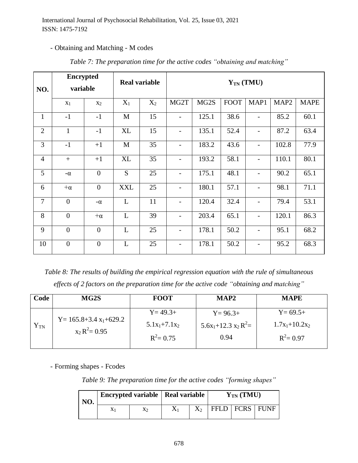## - Obtaining and Matching - M codes

| NO.            | <b>Encrypted</b><br>variable |                  |             | <b>Real variable</b> |                          | $Y_{TN}$ (TMU) |             |                          |                  |             |  |  |
|----------------|------------------------------|------------------|-------------|----------------------|--------------------------|----------------|-------------|--------------------------|------------------|-------------|--|--|
|                | $X_1$                        | X <sub>2</sub>   | $X_1$       | $X_2$                | MG <sub>2</sub> T        | MG2S           | <b>FOOT</b> | MAP1                     | MAP <sub>2</sub> | <b>MAPE</b> |  |  |
| $\mathbf{1}$   | $-1$                         | $-1$             | $\mathbf M$ | 15                   | $\overline{\phantom{0}}$ | 125.1          | 38.6        | $\overline{\phantom{a}}$ | 85.2             | 60.1        |  |  |
| 2              | $\mathbf{1}$                 | $-1$             | XL          | 15                   |                          | 135.1          | 52.4        |                          | 87.2             | 63.4        |  |  |
| 3              | $-1$                         | $+1$             | $\mathbf M$ | 35                   |                          | 183.2          | 43.6        |                          | 102.8            | 77.9        |  |  |
| $\overline{4}$ | $+$                          | $+1$             | XL          | 35                   |                          | 193.2          | 58.1        |                          | 110.1            | 80.1        |  |  |
| 5              | $-\alpha$                    | $\boldsymbol{0}$ | S           | 25                   | $\overline{\phantom{0}}$ | 175.1          | 48.1        | $\overline{\phantom{0}}$ | 90.2             | 65.1        |  |  |
| 6              | $+\alpha$                    | $\boldsymbol{0}$ | <b>XXL</b>  | 25                   | $\overline{\phantom{a}}$ | 180.1          | 57.1        | $\overline{\phantom{0}}$ | 98.1             | 71.1        |  |  |
| $\overline{7}$ | $\overline{0}$               | $-\alpha$        | L           | 11                   |                          | 120.4          | 32.4        | $\qquad \qquad -$        | 79.4             | 53.1        |  |  |
| 8              | $\overline{0}$               | $+\alpha$        | L           | 39                   |                          | 203.4          | 65.1        | $\overline{\phantom{0}}$ | 120.1            | 86.3        |  |  |
| 9              | $\overline{0}$               | $\boldsymbol{0}$ | L           | 25                   | $\overline{\phantom{0}}$ | 178.1          | 50.2        | $\overline{\phantom{0}}$ | 95.1             | 68.2        |  |  |
| 10             | $\overline{0}$               | $\overline{0}$   | L           | 25                   | $\overline{\phantom{0}}$ | 178.1          | 50.2        | $\qquad \qquad -$        | 95.2             | 68.3        |  |  |

*Table 7: The preparation time for the active codes "obtaining and matching"*

*Table 8: The results of building the empirical regression equation with the rule of simultaneous effects of 2 factors on the preparation time for the active code "obtaining and matching"*

| Code     | MG2S                                              | <b>FOOT</b>                                    | MAP <sub>2</sub>                            | <b>MAPE</b>                                     |
|----------|---------------------------------------------------|------------------------------------------------|---------------------------------------------|-------------------------------------------------|
| $Y_{TN}$ | $Y = 165.8 + 3.4 x_1 + 629.2$<br>$x_2 R^2 = 0.95$ | $Y = 49.3+$<br>$5.1x_1+7.1x_2$<br>$R^2 = 0.75$ | $Y = 96.3+$<br>$5.6x_1+12.3x_2R^2=$<br>0.94 | $Y = 69.5+$<br>$1.7x_1+10.2x_2$<br>$R^2 = 0.97$ |

- Forming shapes - Fcodes

*Table 9: The preparation time for the active codes "forming shapes"*

| NO. | Encrypted variable   Real variable |  | $Y_{TN}$ (TMU) |                    |  |  |
|-----|------------------------------------|--|----------------|--------------------|--|--|
|     | X2                                 |  |                | FFLD   FCRS   FUNF |  |  |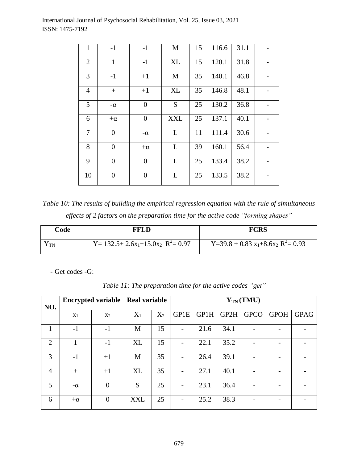| $\mathbf{1}$   | $-1$             | $-1$           | M            | 15 | 116.6 | 31.1 |  |
|----------------|------------------|----------------|--------------|----|-------|------|--|
| $\overline{2}$ | $\mathbf{1}$     | $-1$           | <b>XL</b>    | 15 | 120.1 | 31.8 |  |
| 3              | $-1$             | $+1$           | M            | 35 | 140.1 | 46.8 |  |
| $\overline{4}$ | $+$              | $+1$           | <b>XL</b>    | 35 | 146.8 | 48.1 |  |
| 5              | $-\alpha$        | $\overline{0}$ | S            | 25 | 130.2 | 36.8 |  |
| 6              | $+\alpha$        | $\overline{0}$ | <b>XXL</b>   | 25 | 137.1 | 40.1 |  |
| $\overline{7}$ | $\boldsymbol{0}$ | $-\alpha$      | $\mathbf{L}$ | 11 | 111.4 | 30.6 |  |
| 8              | $\overline{0}$   | $+\alpha$      | L            | 39 | 160.1 | 56.4 |  |
| 9              | $\boldsymbol{0}$ | $\overline{0}$ | L            | 25 | 133.4 | 38.2 |  |
| 10             | $\boldsymbol{0}$ | $\overline{0}$ | L            | 25 | 133.5 | 38.2 |  |

*Table 10: The results of building the empirical regression equation with the rule of simultaneous effects of 2 factors on the preparation time for the active code "forming shapes"*

| Code | FFLD                                                                  | <b>FCRS</b>                                                           |
|------|-----------------------------------------------------------------------|-----------------------------------------------------------------------|
| I TN | Y= 132.5+ 2.6x <sub>1</sub> +15.0x <sub>2</sub> R <sup>2</sup> = 0.97 | Y=39.8 + 0.83 x <sub>1</sub> +8.6x <sub>2</sub> R <sup>2</sup> = 0.93 |

- Get codes -G:

| NO.            |           | <b>Encrypted variable</b> | <b>Real variable</b> |       | $Y_{TN}(TMU)$            |      |      |             |             |             |  |  |  |
|----------------|-----------|---------------------------|----------------------|-------|--------------------------|------|------|-------------|-------------|-------------|--|--|--|
|                | $X_1$     | $X_2$                     | $X_1$                | $X_2$ | GP1E                     | GP1H | GP2H | <b>GPCO</b> | <b>GPOH</b> | <b>GPAG</b> |  |  |  |
| 1              | $-1$      | $-1$                      | M                    | 15    | $\overline{\phantom{0}}$ | 21.6 | 34.1 |             |             |             |  |  |  |
| 2              |           | $-1$                      | <b>XL</b>            | 15    |                          | 22.1 | 35.2 |             | -           |             |  |  |  |
| 3              | $-1$      | $+1$                      | M                    | 35    |                          | 26.4 | 39.1 |             |             |             |  |  |  |
| $\overline{4}$ | $+$       | $+1$                      | XL                   | 35    |                          | 27.1 | 40.1 |             | -           |             |  |  |  |
| 5              | $-\alpha$ | $\overline{0}$            | S                    | 25    |                          | 23.1 | 36.4 |             |             |             |  |  |  |
| 6              | $+\alpha$ | $\overline{0}$            | <b>XXL</b>           | 25    |                          | 25.2 | 38.3 |             |             |             |  |  |  |

*Table 11: The preparation time for the active codes "get"*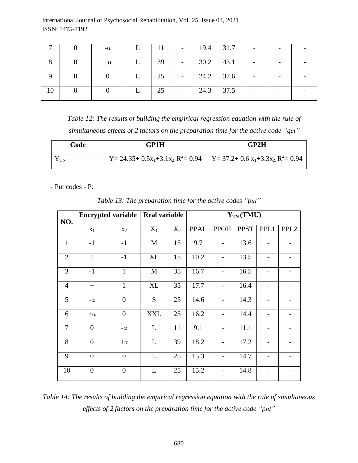|    | $-\alpha$ |     |               | L   11   -   19.4   31.7 | $\overline{\phantom{a}}$ |  |
|----|-----------|-----|---------------|--------------------------|--------------------------|--|
|    | $+\alpha$ | 39  | $30.2$ 43.1   |                          |                          |  |
|    |           | 125 | $-$ 24.2 37.6 |                          |                          |  |
| 10 |           | 25  | $24.3$ 37.5   |                          |                          |  |

*Table 12: The results of building the empirical regression equation with the rule of simultaneous effects of 2 factors on the preparation time for the active code "get"*

| Code      | GP1H                                                                                                                                          | GP2H |
|-----------|-----------------------------------------------------------------------------------------------------------------------------------------------|------|
| <b>TN</b> | Y = 24.35+ 0.5x <sub>1</sub> +3.1x <sub>2</sub> R <sup>2</sup> = 0.94   Y = 37.2+ 0.6 x <sub>1</sub> +3.3x <sub>2</sub> R <sup>2</sup> = 0.94 |      |

- Put codes - P:

| NO.            |                | <b>Encrypted variable</b> |             | <b>Real variable</b><br>$Y_{TN}$ (TMU) |      |             |             |      |                  |  |
|----------------|----------------|---------------------------|-------------|----------------------------------------|------|-------------|-------------|------|------------------|--|
|                | $X_1$          | $X_2$                     | $X_1$       | $X_2$                                  | PPAL | <b>PPOH</b> | <b>PPST</b> | PPL1 | PPL <sub>2</sub> |  |
| $\mathbf{1}$   | $-1$           | $-1$                      | M           | 15                                     | 9.7  |             | 13.6        |      |                  |  |
| $\overline{2}$ | $\mathbf{1}$   | $-1$                      | <b>XL</b>   | 15                                     | 10.2 |             | 13.5        |      |                  |  |
| 3              | $-1$           | $\mathbf{1}$              | $\mathbf M$ | 35                                     | 16.7 |             | 16.5        |      |                  |  |
| $\overline{4}$ | $+$            | $\mathbf{1}$              | XL          | 35                                     | 17.7 |             | 16.4        |      |                  |  |
| 5              | $-\alpha$      | $\overline{0}$            | S           | 25                                     | 14.6 |             | 14.3        |      |                  |  |
| 6              | $+\alpha$      | $\overline{0}$            | <b>XXL</b>  | 25                                     | 16.2 |             | 14.4        |      |                  |  |
| 7              | $\overline{0}$ | $-\alpha$                 | L           | 11                                     | 9.1  |             | 11.1        |      |                  |  |
| 8              | $\overline{0}$ | $+\alpha$                 | L           | 39                                     | 18.2 |             | 17.2        |      |                  |  |
| 9              | $\overline{0}$ | $\overline{0}$            | L           | 25                                     | 15.3 |             | 14.7        |      |                  |  |
| 10             | $\overline{0}$ | $\overline{0}$            | L           | 25                                     | 15.2 |             | 14.8        |      |                  |  |

*Table 13: The preparation time for the active codes "put"*

*Table 14: The results of building the empirical regression equation with the rule of simultaneous effects of 2 factors on the preparation time for the active code "put"*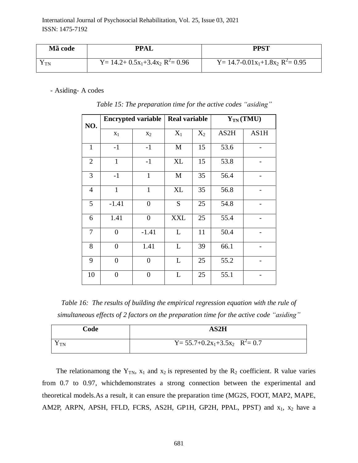| Mã code | <b>PPAL</b>                             | PPST                                                 |
|---------|-----------------------------------------|------------------------------------------------------|
| I TN    | $Y = 14.2 + 0.5x_1 + 3.4x_2 R^2 = 0.96$ | Y = 14.7-0.01 $x_1$ +1.8 $x_2$ R <sup>2</sup> = 0.95 |

- Asiding- A codes

| NO.            |                  | <b>Encrypted variable</b> | <b>Real variable</b> |       | $Y_{TN}$ (TMU) |      |  |
|----------------|------------------|---------------------------|----------------------|-------|----------------|------|--|
|                | $X_1$            | X <sub>2</sub>            | $X_1$                | $X_2$ | AS2H           | AS1H |  |
| $\mathbf{1}$   | $-1$             | $-1$                      | M                    | 15    | 53.6           |      |  |
| $\overline{2}$ | $\mathbf{1}$     | $-1$                      | XL                   | 15    | 53.8           |      |  |
| 3              | $-1$             | $\mathbf{1}$              | M                    | 35    | 56.4           |      |  |
| $\overline{4}$ | $\mathbf{1}$     | $\mathbf{1}$              | XL                   | 35    | 56.8           |      |  |
| 5              | $-1.41$          | $\overline{0}$            | S                    | 25    | 54.8           |      |  |
| 6              | 1.41             | $\overline{0}$            | <b>XXL</b>           | 25    | 55.4           |      |  |
| $\tau$         | $\boldsymbol{0}$ | $-1.41$                   | L                    | 11    | 50.4           |      |  |
| 8              | $\boldsymbol{0}$ | 1.41                      | L                    | 39    | 66.1           |      |  |
| 9              | $\overline{0}$   | $\overline{0}$            | L                    | 25    | 55.2           |      |  |
| 10             | $\overline{0}$   | $\overline{0}$            | L                    | 25    | 55.1           |      |  |

*Table 15: The preparation time for the active codes "asiding"*

*Table 16: The results of building the empirical regression equation with the rule of simultaneous effects of 2 factors on the preparation time for the active code "asiding"*

| Code | AS2H                                     |
|------|------------------------------------------|
| TN   | $Y = 55.7 + 0.2x_1 + 3.5x_2$ $R^2 = 0.7$ |

The relationamong the  $Y_{TN}$ ,  $x_1$  and  $x_2$  is represented by the  $R_2$  coefficient. R value varies from 0.7 to 0.97, whichdemonstrates a strong connection between the experimental and theoretical models.As a result, it can ensure the preparation time (MG2S, FOOT, MAP2, MAPE, AM2P, ARPN, APSH, FFLD, FCRS, AS2H, GP1H, GP2H, PPAL, PPST) and  $x_1$ ,  $x_2$  have a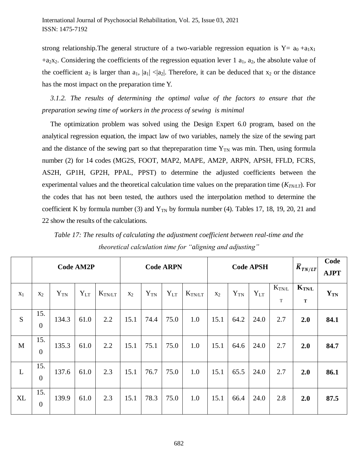strong relationship. The general structure of a two-variable regression equation is  $Y = a_0 + a_1x_1$  $+a_2x_2$ . Considering the coefficients of the regression equation lever 1  $a_1$ ,  $a_2$ , the absolute value of the coefficient  $a_2$  is larger than  $a_1$ ,  $|a_1| < |a_2|$ . Therefore, it can be deduced that  $x_2$  or the distance has the most impact on the preparation time Y.

*3.1.2. The results of determining the optimal value of the factors to ensure that the preparation sewing time of workers in the process of sewing is minimal*

The optimization problem was solved using the Design Expert 6.0 program, based on the analytical regression equation, the impact law of two variables, namely the size of the sewing part and the distance of the sewing part so that the preparation time  $Y_{TN}$  was min. Then, using formula number (2) for 14 codes (MG2S, FOOT, MAP2, MAPE, AM2P, ARPN, APSH, FFLD, FCRS, AS2H, GP1H, GP2H, PPAL, PPST) to determine the adjusted coefficients between the experimental values and the theoretical calculation time values on the preparation time (*KTN/LT*). For the codes that has not been tested, the authors used the interpolation method to determine the coefficient K by formula number (3) and  $Y_{TN}$  by formula number (4). Tables 17, 18, 19, 20, 21 and 22 show the results of the calculations.

|       | <b>Code AM2P</b>        |          |          |                    | <b>Code ARPN</b> |          |          | <b>Code APSH</b>   |                |          |          | $\overline{K}_{TN/LT}$ | Code<br><b>AJPT</b>                                  |          |
|-------|-------------------------|----------|----------|--------------------|------------------|----------|----------|--------------------|----------------|----------|----------|------------------------|------------------------------------------------------|----------|
| $X_1$ | $X_2$                   | $Y_{TN}$ | $Y_{LT}$ | $K_{\text{TN/LT}}$ | $X_2$            | $Y_{TN}$ | $Y_{LT}$ | $K_{\text{TN/LT}}$ | X <sub>2</sub> | $Y_{TN}$ | $Y_{LT}$ | $K_{\rm TN/L}$<br>T    | $\mathbf{K}_{\mathbf{T} \mathbf{N} \mathbf{L}}$<br>T | $Y_{TN}$ |
| S     | 15.<br>$\boldsymbol{0}$ | 134.3    | 61.0     | 2.2                | 15.1             | 74.4     | 75.0     | 1.0                | 15.1           | 64.2     | 24.0     | 2.7                    | 2.0                                                  | 84.1     |
| M     | 15.<br>$\boldsymbol{0}$ | 135.3    | 61.0     | 2.2                | 15.1             | 75.1     | 75.0     | 1.0                | 15.1           | 64.6     | 24.0     | 2.7                    | 2.0                                                  | 84.7     |
| L     | 15.<br>$\boldsymbol{0}$ | 137.6    | 61.0     | 2.3                | 15.1             | 76.7     | 75.0     | 1.0                | 15.1           | 65.5     | 24.0     | 2.7                    | 2.0                                                  | 86.1     |
| XL    | 15.<br>$\boldsymbol{0}$ | 139.9    | 61.0     | 2.3                | 15.1             | 78.3     | 75.0     | 1.0                | 15.1           | 66.4     | 24.0     | 2.8                    | 2.0                                                  | 87.5     |

*Table 17: The results of calculating the adjustment coefficient between real-time and the theoretical calculation time for "aligning and adjusting"*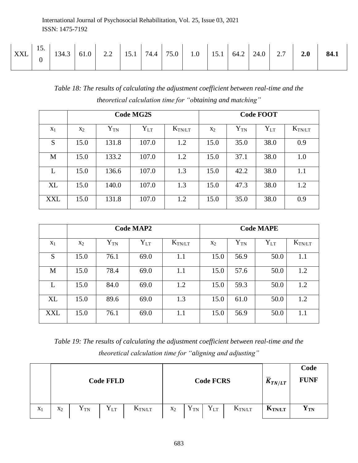| <b>XXL</b> | 19. | 134.3 | 61.0 | $\cap$<br>2.2 | 15.1 | 74.4 | 75.0 | 1.0 | 15.1 | 64.2 | 24.0 | $\sim$ $\sim$<br>$\mathcal{L}$ . $\mathcal{L}$ | 2.0 | 84.1 |
|------------|-----|-------|------|---------------|------|------|------|-----|------|------|------|------------------------------------------------|-----|------|
|------------|-----|-------|------|---------------|------|------|------|-----|------|------|------|------------------------------------------------|-----|------|

*Table 18: The results of calculating the adjustment coefficient between real-time and the theoretical calculation time for "obtaining and matching"* 

|           |       |          | <b>Code MG2S</b> | <b>Code FOOT</b> |       |                |          |                 |  |  |
|-----------|-------|----------|------------------|------------------|-------|----------------|----------|-----------------|--|--|
| $X_1$     | $X_2$ | $Y_{TN}$ | $Y_{LT}$         | $K_{\rm TN/LT}$  | $X_2$ | ${\rm Y_{TN}}$ | $Y_{LT}$ | $K_{\rm TN/LT}$ |  |  |
| S         | 15.0  | 131.8    | 107.0            | 1.2              | 15.0  | 35.0           | 38.0     | 0.9             |  |  |
| M         | 15.0  | 133.2    | 107.0            | 1.2              | 15.0  | 37.1           | 38.0     | 1.0             |  |  |
| L         | 15.0  | 136.6    | 107.0            | 1.3              | 15.0  | 42.2           | 38.0     | 1.1             |  |  |
| <b>XL</b> | 15.0  | 140.0    | 107.0            | 1.3              | 15.0  | 47.3           | 38.0     | 1.2             |  |  |
| XXL       | 15.0  | 131.8    | 107.0            | 1.2              | 15.0  | 35.0           | 38.0     | 0.9             |  |  |

|           |       |          | <b>Code MAP2</b> |                 | <b>Code MAPE</b> |          |                |             |  |  |  |
|-----------|-------|----------|------------------|-----------------|------------------|----------|----------------|-------------|--|--|--|
| $X_1$     | $X_2$ | $Y_{TN}$ | $Y_{LT}$         | $K_{\rm TN/LT}$ | $X_2$            | $Y_{TN}$ | ${\rm Y_{LT}}$ | $K_{TN/LT}$ |  |  |  |
| S         | 15.0  | 76.1     | 69.0             | 1.1             | 15.0             | 56.9     | 50.0           | 1.1         |  |  |  |
| M         | 15.0  | 78.4     | 69.0             | 1.1             | 15.0             | 57.6     | 50.0           | 1.2         |  |  |  |
| L         | 15.0  | 84.0     | 69.0             | 1.2             | 15.0             | 59.3     | 50.0           | 1.2         |  |  |  |
| <b>XL</b> | 15.0  | 89.6     | 69.0             | 1.3             | 15.0             | 61.0     | 50.0           | 1.2         |  |  |  |
| XXL       | 15.0  | 76.1     | 69.0             | 1.1             | 15.0             | 56.9     | 50.0           | 1.1         |  |  |  |

*Table 19: The results of calculating the adjustment coefficient between real-time and the theoretical calculation time for "aligning and adjusting"* 

|       |       |          | <b>Code FFLD</b> |             |       |                | <b>Code FCRS</b> |                    | $\overline{K}_{TN/LT}$ | Code<br><b>FUNF</b> |
|-------|-------|----------|------------------|-------------|-------|----------------|------------------|--------------------|------------------------|---------------------|
| $X_1$ | $X_2$ | $Y_{TN}$ | ${\rm Y_{LT}}$   | $K_{TN/LT}$ | $x_2$ | ${\rm Y_{TN}}$ | $Y_{LT}$         | $K_{\text{TN/LT}}$ | <b>KTN/LT</b>          | ${\bf Y_{TN}}$      |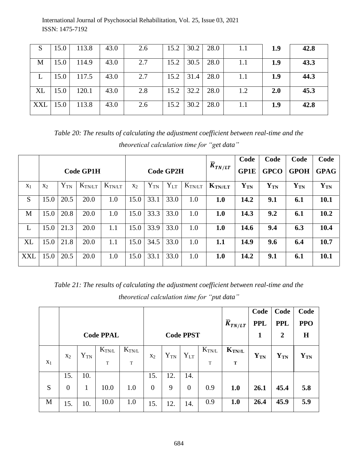| ΔD  | 15.0 | 113.8 | 43.0 | 2.6 | 15.2 | 30.2 | 28.0          | 1.1 | 1.9 | 42.8 |
|-----|------|-------|------|-----|------|------|---------------|-----|-----|------|
| M   | 15.0 | 114.9 | 43.0 | 2.7 | 15.2 |      | $30.5$   28.0 | 1.1 | 1.9 | 43.3 |
|     | 15.0 | 117.5 | 43.0 | 2.7 | 15.2 | 31.4 | 28.0          | 1.1 | 1.9 | 44.3 |
| XL  | 15.0 | 120.1 | 43.0 | 2.8 | 15.2 | 32.2 | 28.0          | 1.2 | 2.0 | 45.3 |
| XXL | 15.0 | 113.8 | 43.0 | 2.6 | 15.2 | 30.2 | 28.0          | 1.1 | 1.9 | 42.8 |

*Table 20: The results of calculating the adjustment coefficient between real-time and the theoretical calculation time for "get data"*

|            |                |          |                  |             |       |                  |          |             | $+ \overline{K}_{TN/LT}$ | Code        | Code        | Code           | Code        |
|------------|----------------|----------|------------------|-------------|-------|------------------|----------|-------------|--------------------------|-------------|-------------|----------------|-------------|
|            |                |          | <b>Code GP1H</b> |             |       | <b>Code GP2H</b> |          |             |                          | <b>GP1E</b> | <b>GPCO</b> | <b>GPOH</b>    | <b>GPAG</b> |
| $X_1$      | X <sub>2</sub> | $Y_{TN}$ | $K_{TN/LT}$      | $K_{TN/LT}$ | $X_2$ | $Y_{TN}$         | $Y_{LT}$ | $K_{TN/LT}$ | $K_{TN/LT}$              | $Y_{TN}$    | $Y_{TN}$    | ${\bf Y_{TN}}$ | $Y_{TN}$    |
| S          | 15.0           | 20.5     | 20.0             | 1.0         | 15.0  | 33.1             | 33.0     | 1.0         | 1.0                      | 14.2        | 9.1         | 6.1            | 10.1        |
| M          | 15.0           | 20.8     | 20.0             | 1.0         | 15.0  | 33.3             | 33.0     | 1.0         | 1.0                      | 14.3        | 9.2         | 6.1            | 10.2        |
| L          | 15.0           | 21.3     | 20.0             | 1.1         | 15.0  | 33.9             | 33.0     | 1.0         | 1.0                      | 14.6        | 9.4         | 6.3            | 10.4        |
| <b>XL</b>  | 15.0           | 21.8     | 20.0             | 1.1         | 15.0  | 34.5             | 33.0     | 1.0         | 1.1                      | 14.9        | 9.6         | 6.4            | 10.7        |
| <b>XXL</b> | 15.0           | 20.5     | 20.0             | 1.0         | 15.0  | 33.1             | 33.0     | 1.0         | 1.0                      | 14.2        | 9.1         | 6.1            | 10.1        |

*Table 21: The results of calculating the adjustment coefficient between real-time and the theoretical calculation time for "put data"*

|       |                  |                |                  |               |                  |          |                  |             |                           | Code       | Code             | Code              |
|-------|------------------|----------------|------------------|---------------|------------------|----------|------------------|-------------|---------------------------|------------|------------------|-------------------|
|       |                  |                |                  |               |                  |          |                  |             | $\overline{K}_{TN/LT}$    | <b>PPL</b> | <b>PPL</b>       | <b>PPO</b>        |
|       |                  |                | <b>Code PPAL</b> |               |                  |          | <b>Code PPST</b> |             |                           | 1          | $\boldsymbol{2}$ | $\bf H$           |
|       | X <sub>2</sub>   | ${\rm Y_{TN}}$ | $K_{TN/L}$       | $K_{\rm TNL}$ | $X_2$            | $Y_{TN}$ | $Y_{LT}$         | $K_{T N/L}$ | $K_{\text{TN}/\text{/L}}$ | $Y_{TN}$   | ${\bf Y_{TN}}$   | $\mathbf{Y_{TN}}$ |
| $X_1$ |                  |                | T                | $\mathbf T$   |                  |          |                  | T           | T                         |            |                  |                   |
|       | 15.              | 10.            |                  |               | 15.              | 12.      | 14.              |             |                           |            |                  |                   |
| S     | $\boldsymbol{0}$ | 1              | 10.0             | 1.0           | $\boldsymbol{0}$ | 9        | $\boldsymbol{0}$ | 0.9         | 1.0                       | 26.1       | 45.4             | 5.8               |
| M     | 15.              | 10.            | 10.0             | 1.0           | 15.              | 12.      | 14.              | 0.9         | 1.0                       | 26.4       | 45.9             | 5.9               |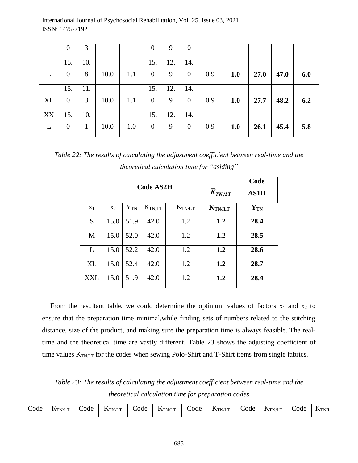|    | $\overline{0}$ | 3            |      |     | $\theta$       | 9   | $\overline{0}$ |     |     |      |      |     |
|----|----------------|--------------|------|-----|----------------|-----|----------------|-----|-----|------|------|-----|
|    | 15.            | 10.          |      |     | 15.            | 12. | 14.            |     |     |      |      |     |
|    | $\overline{0}$ | 8            | 10.0 | 1.1 | $\overline{0}$ | 9   | $\overline{0}$ | 0.9 | 1.0 | 27.0 | 47.0 | 6.0 |
|    | 15.            | 11.          |      |     | 15.            | 12. | 14.            |     |     |      |      |     |
| XL | $\mathbf{0}$   | 3            | 10.0 | 1.1 | $\overline{0}$ | 9   | $\mathbf{0}$   | 0.9 | 1.0 | 27.7 | 48.2 | 6.2 |
| XX | 15.            | 10.          |      |     | 15.            | 12. | 14.            |     |     |      |      |     |
| L  | $\overline{0}$ | $\mathbf{1}$ | 10.0 | 1.0 | $\overline{0}$ | 9   | $\mathbf{0}$   | 0.9 | 1.0 | 26.1 | 45.4 | 5.8 |

*Table 22: The results of calculating the adjustment coefficient between real-time and the theoretical calculation time for "asiding"*

|            |       |          | <b>Code AS2H</b>   |                    | $\overline{K}_{TN/LT}$ | Code<br><b>AS1H</b> |
|------------|-------|----------|--------------------|--------------------|------------------------|---------------------|
| $X_1$      | $X_2$ | $Y_{TN}$ | $K_{\text{TN/LT}}$ | $K_{\text{TN/LT}}$ | $K_{TN/\!/\!LT}$       | ${\bf Y_{TN}}$      |
| S          | 15.0  | 51.9     | 42.0               | 1.2                | 1.2                    | 28.4                |
| M          | 15.0  | 52.0     | 42.0               | 1.2                | 1.2                    | 28.5                |
| L          | 15.0  | 52.2     | 42.0               | 1.2                | 1.2                    | 28.6                |
| <b>XL</b>  | 15.0  | 52.4     | 42.0               | 1.2                | 1.2                    | 28.7                |
| <b>XXL</b> | 15.0  | 51.9     | 42.0               | 1.2                | 1.2                    | 28.4                |

From the resultant table, we could determine the optimum values of factors  $x_1$  and  $x_2$  to ensure that the preparation time minimal,while finding sets of numbers related to the stitching distance, size of the product, and making sure the preparation time is always feasible. The realtime and the theoretical time are vastly different. Table 23 shows the adjusting coefficient of time values  $K_{\text{TN}}$  for the codes when sewing Polo-Shirt and T-Shirt items from single fabrics.

*Table 23: The results of calculating the adjustment coefficient between real-time and the theoretical calculation time for preparation codes*

| Code | -TN/LT<br>V.<br>the contract of the contract of the | ode | TN/L'1<br>. .<br>the contract of the contract of the contract of | Code | 1 N/L1<br>. .<br>the contract of the contract of the | Code | $\mathbf{\Lambda}_{\mathrm{TN/LT}}$<br>--<br>the contract of the contract of the | $C$ ode | <b>NTN/LT</b><br>I'N/L'I<br>the contract of the contract of the con- | $\cup$ ode | $\mathbf{r}$<br>$+$ $-$<br>IN.<br>. . |
|------|-----------------------------------------------------|-----|------------------------------------------------------------------|------|------------------------------------------------------|------|----------------------------------------------------------------------------------|---------|----------------------------------------------------------------------|------------|---------------------------------------|
|------|-----------------------------------------------------|-----|------------------------------------------------------------------|------|------------------------------------------------------|------|----------------------------------------------------------------------------------|---------|----------------------------------------------------------------------|------------|---------------------------------------|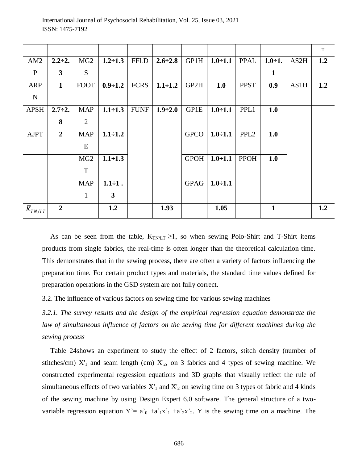|                        |                |                 |                |             |                |             |                |                  |               |      | $\mathbf T$ |
|------------------------|----------------|-----------------|----------------|-------------|----------------|-------------|----------------|------------------|---------------|------|-------------|
| AM2                    | $2.2 \div 2.$  | MG <sub>2</sub> | $1.2 \div 1.3$ | <b>FFLD</b> | $2.6 \div 2.8$ | GP1H        | $1.0 \div 1.1$ | <b>PPAL</b>      | $1.0 \div 1.$ | AS2H | 1.2         |
| $\mathbf{P}$           | 3              | S               |                |             |                |             |                |                  | $\mathbf{1}$  |      |             |
| <b>ARP</b>             | $\mathbf{1}$   | <b>FOOT</b>     | $0.9 \div 1.2$ | <b>FCRS</b> | $1.1 \div 1.2$ | GP2H        | 1.0            | <b>PPST</b>      | 0.9           | AS1H | 1.2         |
| ${\bf N}$              |                |                 |                |             |                |             |                |                  |               |      |             |
| <b>APSH</b>            | $2.7 \div 2.$  | <b>MAP</b>      | $1.1 \div 1.3$ | <b>FUNF</b> | $1.9 \div 2.0$ | GP1E        | $1.0 \div 1.1$ | PPL1             | 1.0           |      |             |
|                        | 8              | $\overline{2}$  |                |             |                |             |                |                  |               |      |             |
| <b>AJPT</b>            | $\overline{2}$ | <b>MAP</b>      | $1.1 \div 1.2$ |             |                | <b>GPCO</b> | $1.0 - 1.1$    | PPL <sub>2</sub> | 1.0           |      |             |
|                        |                | E               |                |             |                |             |                |                  |               |      |             |
|                        |                | MG <sub>2</sub> | $1.1 \div 1.3$ |             |                | <b>GPOH</b> | $1.0 \div 1.1$ | <b>PPOH</b>      | 1.0           |      |             |
|                        |                | T               |                |             |                |             |                |                  |               |      |             |
|                        |                | <b>MAP</b>      | $1.1 \div 1.$  |             |                | <b>GPAG</b> | $1.0 \div 1.1$ |                  |               |      |             |
|                        |                | $\mathbf{1}$    | 3              |             |                |             |                |                  |               |      |             |
| $\overline{K}_{TN/LT}$ | $\overline{2}$ |                 | 1.2            |             | 1.93           |             | 1.05           |                  | $\mathbf{1}$  |      | 1.2         |

As can be seen from the table,  $K_{TNLT} \ge 1$ , so when sewing Polo-Shirt and T-Shirt items products from single fabrics, the real-time is often longer than the theoretical calculation time. This demonstrates that in the sewing process, there are often a variety of factors influencing the preparation time. For certain product types and materials, the standard time values defined for preparation operations in the GSD system are not fully correct.

3.2. The influence of various factors on sewing time for various sewing machines

*3.2.1. The survey results and the design of the empirical regression equation demonstrate the*  law of simultaneous influence of factors on the sewing time for different machines during the *sewing process*

Table 24shows an experiment to study the effect of 2 factors, stitch density (number of stitches/cm)  $X'_1$  and seam length (cm)  $X'_2$ , on 3 fabrics and 4 types of sewing machine. We constructed experimental regression equations and 3D graphs that visually reflect the rule of simultaneous effects of two variables  $X'_1$  and  $X'_2$  on sewing time on 3 types of fabric and 4 kinds of the sewing machine by using Design Expert 6.0 software. The general structure of a twovariable regression equation  $Y' = a'_{0} + a'_{1}x'_{1} + a'_{2}x'_{2}$ . Y is the sewing time on a machine. The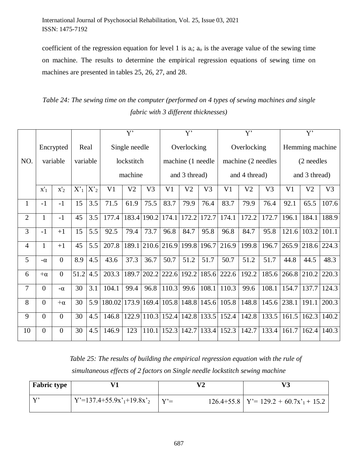coefficient of the regression equation for level 1 is  $a_i$ ;  $a_o$  is the average value of the sewing time on machine. The results to determine the empirical regression equations of sewing time on machines are presented in tables 25, 26, 27, and 28.

| Table 24: The sewing time on the computer (performed on 4 types of sewing machines and single |
|-----------------------------------------------------------------------------------------------|
| fabric with 3 different thicknesses)                                                          |

|              |                 |                  |                                                                        |     |                | Y'             |                |                   | Y'                |       |                | Y'                 |                | Y'            |                 |       |  |
|--------------|-----------------|------------------|------------------------------------------------------------------------|-----|----------------|----------------|----------------|-------------------|-------------------|-------|----------------|--------------------|----------------|---------------|-----------------|-------|--|
|              |                 | Encrypted        | Real                                                                   |     |                | Single needle  |                |                   | Overlocking       |       |                | Overlocking        |                |               | Hemming machine |       |  |
| NO.          |                 | variable         | variable                                                               |     |                | lockstitch     |                |                   | machine (1 needle |       |                | machine (2 needles |                |               | (2 needles      |       |  |
|              |                 |                  |                                                                        |     |                | machine        |                | and 3 thread)     |                   |       | and 4 thread)  |                    |                | and 3 thread) |                 |       |  |
|              | $\mathbf{x'}_1$ | $x'_2$           | $X'_1$<br>$X'_2$<br>V <sub>1</sub><br>V <sub>2</sub><br>V <sub>3</sub> |     | V <sub>1</sub> | V <sub>2</sub> | V <sub>3</sub> | V <sub>1</sub>    | V <sub>2</sub>    | V3    | V <sub>1</sub> | V <sub>2</sub>     | V <sub>3</sub> |               |                 |       |  |
| $\mathbf{1}$ | $-1$            | $-1$             | 15                                                                     | 3.5 | 71.5           | 61.9           | 75.5           | 83.7              | 79.9              | 76.4  | 83.7           | 79.9               | 76.4           | 92.1          | 65.5            | 107.6 |  |
| $\mathbf{2}$ | $\mathbf{1}$    | $-1$             | 45                                                                     | 3.5 | 177.4          | 183.4          | 190.2          | 174.1             | 172.2             | 172.7 | 174.1          | 172.2              | 172.7          | 196.1         | 184.1           | 188.9 |  |
| 3            | $-1$            | $+1$             | 15                                                                     | 5.5 | 92.5           | 79.4           | 73.7           | 96.8              | 84.7              | 95.8  | 96.8           | 84.7               | 95.8           | 121.6         | 103.2           | 101.1 |  |
| 4            | $\mathbf{1}$    | $+1$             | 45                                                                     | 5.5 | 207.8          | 189.1          |                | 210.6 216.9       | 199.8             | 196.7 | 216.9          | 199.8              | 196.7          | 265.9         | 218.6 224.3     |       |  |
| 5            | $-\alpha$       | $\boldsymbol{0}$ | 8.9                                                                    | 4.5 | 43.6           | 37.3           | 36.7           | 50.7              | 51.2              | 51.7  | 50.7           | 51.2               | 51.7           | 44.8          | 44.5            | 48.3  |  |
| 6            | $+\alpha$       | $\overline{0}$   | 51.2                                                                   | 4.5 | 203.3          |                |                | 189.7 202.2 222.6 | 192.2             | 185.6 | 222.6          | 192.2              | 185.6          | 266.8         | 210.2           | 220.3 |  |
| 7            | $\overline{0}$  | $-\alpha$        | 30                                                                     | 3.1 | 104.1          | 99.4           | 96.8           | 110.3             | 99.6              | 108.1 | 110.3          | 99.6               | 108.1          | 154.7         | 137.7           | 124.3 |  |
| 8            | $\overline{0}$  | $+\alpha$        | 30                                                                     | 5.9 | 180.02         |                | 173.9 169.4    | 105.8             | 148.8             | 145.6 | 105.8          | 148.8              | 145.6          | 238.1         | 191.1           | 200.3 |  |
| 9            | $\overline{0}$  | $\boldsymbol{0}$ | 30                                                                     | 4.5 | 146.8          |                | 122.9 110.3    | 152.4             | 142.8             | 133.5 | 152.4          | 142.8              | 133.5          | 161.5         | 162.3           | 140.2 |  |
| 10           | $\overline{0}$  | $\boldsymbol{0}$ | 30                                                                     | 4.5 | 146.9          | 123            | 110.1          | 152.3             | 142.7             | 133.4 | 152.3          | 142.7              | 133.4          | 161.7         | 162.4           | 140.3 |  |

| Table 25: The results of building the empirical regression equation with the rule of |
|--------------------------------------------------------------------------------------|
| simultaneous effects of 2 factors on Single needle lockstitch sewing machine         |

| <b>Fabric type</b> |                                                  |        |                                              |
|--------------------|--------------------------------------------------|--------|----------------------------------------------|
| $\mathbf{V}$       | $Y'=137.4+55.9x^{\prime}_{1}+19.8x^{\prime}_{2}$ | $V' =$ | $126.4+55.8$   Y'= $129.2 + 60.7x_1' + 15.2$ |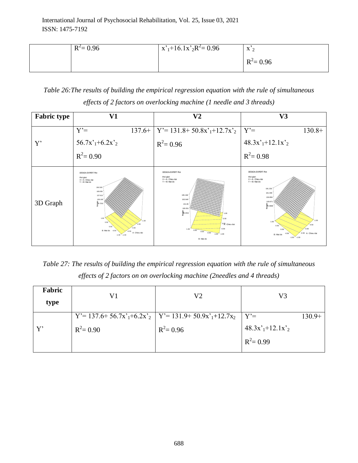| $R^2 = 0.96$ | $x^2 + 16.1x^2 - 0.96$ | $\mathbf{v}$<br>$\Lambda$ $\gamma$ |
|--------------|------------------------|------------------------------------|
|              |                        | $R^2$ = 0.96                       |

*Table 26:The results of building the empirical regression equation with the rule of simultaneous effects of 2 factors on overlocking machine (1 needle and 3 threads)*

| <b>Fabric type</b> | V1                                                                                                                                                                                                                      | $\bf V2$                                                                                                                                                                                                                                                           | V3                                                                                                                                                                                                                                                    |
|--------------------|-------------------------------------------------------------------------------------------------------------------------------------------------------------------------------------------------------------------------|--------------------------------------------------------------------------------------------------------------------------------------------------------------------------------------------------------------------------------------------------------------------|-------------------------------------------------------------------------------------------------------------------------------------------------------------------------------------------------------------------------------------------------------|
|                    | $Y' =$                                                                                                                                                                                                                  | $137.6+$ $Y'=$ 131.8+ 50.8x' <sub>1</sub> +12.7x' <sub>2</sub>                                                                                                                                                                                                     | $Y' =$<br>$130.8+$                                                                                                                                                                                                                                    |
| Y'                 | $56.7x^{\prime}$ <sub>1</sub> +6.2x <sup>'</sup> <sub>2</sub>                                                                                                                                                           | $R^2 = 0.96$                                                                                                                                                                                                                                                       | $48.3x^{\prime}$ <sub>1</sub> +12.1x <sup>'</sup> <sub>2</sub>                                                                                                                                                                                        |
|                    | $R^2 = 0.90$                                                                                                                                                                                                            |                                                                                                                                                                                                                                                                    | $R^2 = 0.98$                                                                                                                                                                                                                                          |
| 3D Graph           | DESIGN-EXPERT Plot<br>thoi gian<br>X = A: Chieu dai<br>$Y = B$ : Mat do<br>200.505<br>169.059<br>137.613<br>106.166<br>94.7201<br>1.00<br>1 <sub>m</sub><br>0.50<br>0.00<br>B: Mat do<br>A: Chieu dai<br>$-1.00 - 1.00$ | <b>DESIGN-EXPERT Plot</b><br>thoi gian<br>$X = A$ : Chieu dai<br>$Y = B$ : Mat do<br>195.448<br>163,649<br>131.85<br>100.05<br>$\frac{6}{6}8.2521$<br>1.00<br>0.60<br>0.00; Chieu dai<br>$-0.50$<br>1.00<br>0.50<br>0.00<br>$-0.50$<br>$-1.00 - 1.00$<br>B: Mat do | <b>DESIGN-EXPERT Plot</b><br>thoi gian<br>$X = A$ : Chieu dai<br>$Y = B$ : Mat do<br>191.233<br>161.046<br>130.858<br>100.67<br>န္ထ<br>ဥပ. 4838<br>ေ<br>1.00<br>0.50<br>0.50<br>0.00<br>0.00<br>-0.50 A: Chieu dai<br>B: Mat do<br>$-1.00$<br>$-1.00$ |

*Table 27: The results of building the empirical regression equation with the rule of simultaneous effects of 2 factors on on overlocking machine (2needles and 4 threads)*

| V1           | V2           | V3                                                                            |          |
|--------------|--------------|-------------------------------------------------------------------------------|----------|
|              |              | $Y' =$                                                                        | $130.9+$ |
| $R^2 = 0.90$ | $R^2 = 0.96$ | $48.3x^{\prime}$ <sub>1</sub> +12.1x <sup>'</sup> <sub>2</sub>                |          |
|              |              | $R^2 = 0.99$                                                                  |          |
|              |              | $Y' = 137.6 + 56.7x'_{1} + 6.2x'_{2}$   $Y' = 131.9 + 50.9x'_{1} + 12.7x_{2}$ |          |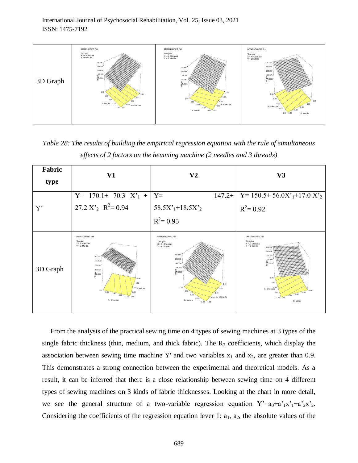

*Table 28: The results of building the empirical regression equation with the rule of simultaneous effects of 2 factors on the hemming machine (2 needles and 3 threads)*

| Fabric   | V1                                                                                                                                                                                                                                                        | V2                                                                                                                                                                                                                                        | V3                                                                                                                                                                                                                                                                          |
|----------|-----------------------------------------------------------------------------------------------------------------------------------------------------------------------------------------------------------------------------------------------------------|-------------------------------------------------------------------------------------------------------------------------------------------------------------------------------------------------------------------------------------------|-----------------------------------------------------------------------------------------------------------------------------------------------------------------------------------------------------------------------------------------------------------------------------|
| type     |                                                                                                                                                                                                                                                           |                                                                                                                                                                                                                                           |                                                                                                                                                                                                                                                                             |
|          | $Y = 170.1 + 70.3 X1 +$                                                                                                                                                                                                                                   | $Y=$<br>$147.2+$                                                                                                                                                                                                                          | $Y = 150.5 + 56.0X^{\prime}$ <sub>1</sub> +17.0 X <sup>2</sup> <sub>2</sub>                                                                                                                                                                                                 |
| Y'       | 27.2 $X'_2$ $R^2 = 0.94$                                                                                                                                                                                                                                  | $58.5X^{\prime}$ <sub>1</sub> +18.5X <sup>'</sup> <sub>2</sub>                                                                                                                                                                            | $R^2 = 0.92$                                                                                                                                                                                                                                                                |
|          |                                                                                                                                                                                                                                                           | $R^2 = 0.95$                                                                                                                                                                                                                              |                                                                                                                                                                                                                                                                             |
| 3D Graph | <b>DESIGN-EXPERT Plot</b><br>Thoi gian<br>$X = A$ : Chieu dai<br>$Y = B$ : Mat do<br>267.533<br>218,815<br>170.096<br>121.377<br>2.6582<br>$-1.00$<br>$-0.50$<br>$^{0.00}$ B: Mat do<br>1.00<br>0.50<br>0.00<br>$-0.50$<br>$-1.00 - 1.00$<br>A: Chieu dai | <b>DESIGN-EXPERT Plot</b><br>Thoi gian<br>$X = A$ : Chieu dai<br>$Y = B$ : Mat do<br>224.115<br>185.612<br>147.108<br>108.605<br>$\frac{5}{2}0.1016$<br>1.00<br>1.00<br>0.50<br>0.00<br>.0.50 A: Chieu dai<br>B: Mat do<br>$-1.00 - 1.00$ | <b>DESIGN-EXPERT Plot</b><br>Thoi gian<br>X = A: Chieu dai<br>$Y = B$ : Mat do<br>223.561<br>187.054<br>150.546<br>114.038<br>37.5302<br><u> 1111111111111</u><br>1.00<br>0.60<br>A: Chieu dai<br>$-1.00$<br>0.50<br>$-0.51$<br>0.00<br>0.50<br>$-1.00 - 1.00$<br>B: Mat do |

From the analysis of the practical sewing time on 4 types of sewing machines at 3 types of the single fabric thickness (thin, medium, and thick fabric). The  $R_2$  coefficients, which display the association between sewing time machine Y' and two variables  $x_1$  and  $x_2$ , are greater than 0.9. This demonstrates a strong connection between the experimental and theoretical models. As a result, it can be inferred that there is a close relationship between sewing time on 4 different types of sewing machines on 3 kinds of fabric thicknesses. Looking at the chart in more detail*,* we see the general structure of a two-variable regression equation  $Y'=a_0+a_1'x_1'+a_2'x_2'$ . Considering the coefficients of the regression equation lever 1:  $a_1$ ,  $a_2$ , the absolute values of the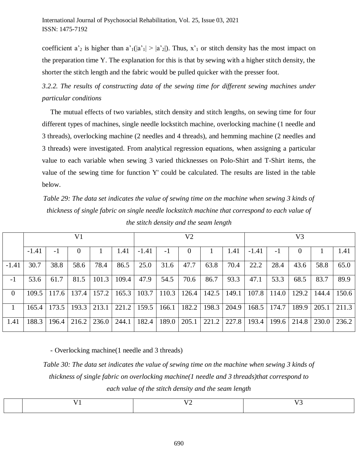coefficient a'<sub>2</sub> is higher than a'<sub>1</sub>(|a'<sub>1</sub>| > |a'<sub>2</sub>|). Thus, x'<sub>1</sub> or stitch density has the most impact on the preparation time Y. The explanation for this is that by sewing with a higher stitch density, the shorter the stitch length and the fabric would be pulled quicker with the presser foot.

*3.2.2. The results of constructing data of the sewing time for different sewing machines under particular conditions*

The mutual effects of two variables, stitch density and stitch lengths, on sewing time for four different types of machines, single needle lockstitch machine, overlocking machine (1 needle and 3 threads), overlocking machine (2 needles and 4 threads), and hemming machine (2 needles and 3 threads) were investigated. From analytical regression equations, when assigning a particular value to each variable when sewing 3 varied thicknesses on Polo-Shirt and T-Shirt items, the value of the sewing time for function Y' could be calculated. The results are listed in the table below.

*Table 29: The data set indicates the value of sewing time on the machine when sewing 3 kinds of thickness of single fabric on single needle lockstitch machine that correspond to each value of the stitch density and the seam length*

|                |         |       | V <sub>1</sub> |       |       |         |       | V <sub>2</sub> |       |       |         |       | V <sub>3</sub> |       |       |
|----------------|---------|-------|----------------|-------|-------|---------|-------|----------------|-------|-------|---------|-------|----------------|-------|-------|
|                | $-1.41$ | $-1$  | $\theta$       |       | 1.41  | $-1.41$ | $-1$  | 0              |       | 1.41  | $-1.41$ | -1    | $\theta$       |       | 1.41  |
| $-1.41$        | 30.7    | 38.8  | 58.6           | 78.4  | 86.5  | 25.0    | 31.6  | 47.7           | 63.8  | 70.4  | 22.2    | 28.4  | 43.6           | 58.8  | 65.0  |
| $-1$           | 53.6    | 61.7  | 81.5           | 101.3 | 109.4 | 47.9    | 54.5  | 70.6           | 86.7  | 93.3  | 47.1    | 53.3  | 68.5           | 83.7  | 89.9  |
| $\overline{0}$ | 109.5   | 117.6 | 137.4          | 157.2 | 165.3 | 103.7   | 110.3 | 126.4          | 142.5 | 149.1 | 107.8   | 114.0 | 129.2          | 144.4 | 150.6 |
|                | 165.4   | 173.5 | 193.3          | 213.1 | 221.2 | 159.5   | 166.1 | 182.2          | 198.3 | 204.9 | 168.5   | 174.7 | 189.9          | 205.1 | 211.3 |
| 1.41           | 188.3   | 196.4 | 216.2          | 236.0 | 244.1 | 182.4   | 189.0 | 205.1          | 221.2 | 227.8 | 193.4   | 199.6 | 214.8          | 230.0 | 236.2 |

- Overlocking machine(1 needle and 3 threads)

*Table 30: The data set indicates the value of sewing time on the machine when sewing 3 kinds of thickness of single fabric on overlocking machine(1 needle and 3 threads)that correspond to each value of the stitch density and the seam length*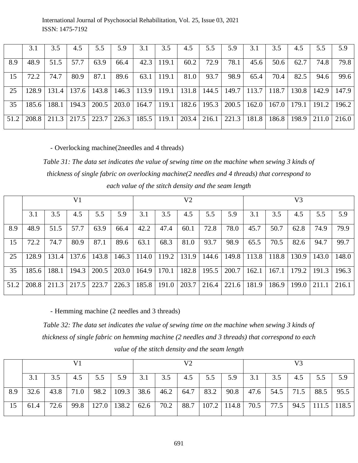International Journal of Psychosocial Rehabilitation, Vol. 25, Issue 03, 2021 ISSN: 1475-7192

|      | 3.1   | 3.5   | 4.5   | 5.5   | 5.9   | 3.1   | 3.5   | 4.5   | 5.5   | 5.9   | 3.1   | 3.5   | 4.5   | 5.5   | 5.9   |
|------|-------|-------|-------|-------|-------|-------|-------|-------|-------|-------|-------|-------|-------|-------|-------|
| 8.9  | 48.9  | 51.5  | 57.7  | 63.9  | 66.4  | 42.3  | 119.1 | 60.2  | 72.9  | 78.1  | 45.6  | 50.6  | 62.7  | 74.8  | 79.8  |
| 15   | 72.2  | 74.7  | 80.9  | 87.1  | 89.6  | 63.1  | 119.1 | 81.0  | 93.7  | 98.9  | 65.4  | 70.4  | 82.5  | 94.6  | 99.6  |
| 25   | 128.9 | 131.4 | 137.6 | 143.8 | 146.3 | 113.9 | 119.1 | 131.8 | 144.5 | 149.7 | 113.7 | 118.7 | 130.8 | 142.9 | 147.9 |
| 35   | 185.6 | 188.1 | 194.3 | 200.5 | 203.0 | 164.7 | 119.1 | 182.6 | 195.3 | 200.5 | 162.0 | 167.0 | 179.1 | 191.2 | 196.2 |
| 51.2 | 208.8 | 211.3 | 217.5 | 223.7 | 226.3 | 185.5 | 119.1 | 203.4 | 216.1 | 221.3 | 181.8 | 186.8 | 198.9 | 211.0 | 216.0 |

- Overlocking machine(2needles and 4 threads)

*Table 31: The data set indicates the value of sewing time on the machine when sewing 3 kinds of thickness of single fabric on overlocking machine(2 needles and 4 threads) that correspond to each value of the stitch density and the seam length*

|      |       |       | V <sub>1</sub> |       |       |       |       | V <sub>2</sub> |       |       | V3    |       |       |       |       |
|------|-------|-------|----------------|-------|-------|-------|-------|----------------|-------|-------|-------|-------|-------|-------|-------|
|      | 3.1   | 3.5   | 4.5            | 5.5   | 5.9   | 3.1   | 3.5   | 4.5            | 5.5   | 5.9   | 3.1   | 3.5   | 4.5   | 5.5   | 5.9   |
| 8.9  | 48.9  | 51.5  | 57.7           | 63.9  | 66.4  | 42.2  | 47.4  | 60.1           | 72.8  | 78.0  | 45.7  | 50.7  | 62.8  | 74.9  | 79.9  |
| 15   | 72.2  | 74.7  | 80.9           | 87.1  | 89.6  | 63.1  | 68.3  | 81.0           | 93.7  | 98.9  | 65.5  | 70.5  | 82.6  | 94.7  | 99.7  |
| 25   | 128.9 | 131.4 | 137.6          | 143.8 | 146.3 | 114.0 | 119.2 | 131.9          | 144.6 | 149.8 | 113.8 | 118.8 | 130.9 | 143.0 | 148.0 |
| 35   | 185.6 | 188.1 | 194.3          | 200.5 | 203.0 | 164.9 | 170.1 | 182.8          | 195.5 | 200.7 | 162.1 | 167.1 | 179.2 | 191.3 | 196.3 |
| 51.2 | 208.8 | 211.3 | 217.5          | 223.7 | 226.3 | 185.8 | 191.0 | 203.7          | 216.4 | 221.6 | 181.9 | 186.9 | 199.0 | 211.1 | 216.1 |

- Hemming machine (2 needles and 3 threads)

*Table 32: The data set indicates the value of sewing time on the machine when sewing 3 kinds of thickness of single fabric on hemming machine (2 needles and 3 threads) that correspond to each value of the stitch density and the seam length*

|     |      |      |      |     |                                          |     |             | V2  |     |                             |     |     |                             |           |     |
|-----|------|------|------|-----|------------------------------------------|-----|-------------|-----|-----|-----------------------------|-----|-----|-----------------------------|-----------|-----|
|     |      |      | 4.5  | 5.5 | 5.9                                      | 3.1 | 3.5         | 4.5 | 5.5 | 5.9                         | 3.1 | 3.5 | 4.5                         | 5.5       | 5.9 |
| 8.9 | 32.6 | 43.8 | 71.0 |     | 98.2   109.3   38.6   46.2               |     |             |     |     | $64.7$   83.2   90.8        |     |     | $\mid$ 47.6   54.5   71.5   | 88.5 95.5 |     |
| 15  | 61.4 | 72.6 |      |     | 99.8 $\vert$ 127.0 $\vert$ 138.2 $\vert$ |     | $62.6$ 70.2 |     |     | 88.7   107.2   114.8   70.5 |     |     | 77.5   94.5   111.5   118.5 |           |     |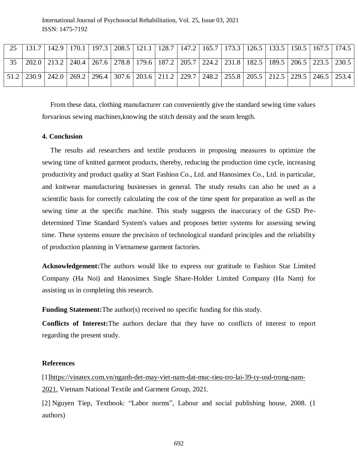| 25 |                                                                                                                       |  |  |  |  |  | 131.7   142.9   170.1   197.3   208.5   121.1   128.7   147.2   165.7   173.3   126.5   133.5   150.5   167.5   174.5 |  |
|----|-----------------------------------------------------------------------------------------------------------------------|--|--|--|--|--|-----------------------------------------------------------------------------------------------------------------------|--|
|    | 202.0   213.2   240.4   267.6   278.8   179.6   187.2   205.7   224.2   231.8   182.5   189.5   206.5   223.5   230.5 |  |  |  |  |  |                                                                                                                       |  |
|    | 51.2 230.9 242.0 269.2 296.4 307.6 203.6 211.2 229.7 248.2 255.8 205.5 212.5 229.5 246.5 253.4                        |  |  |  |  |  |                                                                                                                       |  |

From these data, clothing manufacturer can conveniently give the standard sewing time values forvarious sewing machines,knowing the stitch density and the seam length.

### **4. Conclusion**

The results aid researchers and textile producers in proposing measures to optimize the sewing time of knitted garment products, thereby, reducing the production time cycle, increasing productivity and product quality at Start Fashion Co., Ltd. and Hanosimex Co., Ltd. in particular, and knitwear manufacturing businesses in general. The study results can also be used as a scientific basis for correctly calculating the cost of the time spent for preparation as well as the sewing time at the specific machine. This study suggests the inaccuracy of the GSD Predetermined Time Standard System's values and proposes better systems for assessing sewing time. These systems ensure the precision of technological standard principles and the reliability of production planning in Vietnamese garment factories.

**Acknowledgement:**The authors would like to express our gratitude to Fashion Star Limited Company (Ha Noi) and Hanosimex Single Share-Holder Limited Company (Ha Nam) for assisting us in completing this research.

**Funding Statement:** The author(s) received no specific funding for this study.

**Conflicts of Interest:**The authors declare that they have no conflicts of interest to report regarding the present study.

#### **References**

[1[\]https://vinatex.com.vn/nganh-det-may-viet-nam-dat-muc-tieu-tro-lai-39-ty-usd-trong-nam-](https://vinatex.com.vn/nganh-det-may-viet-nam-dat-muc-tieu-tro-lai-39-ty-usd-trong-nam-2021)[2021,](https://vinatex.com.vn/nganh-det-may-viet-nam-dat-muc-tieu-tro-lai-39-ty-usd-trong-nam-2021) Vietnam National Textile and Garment Group, 2021.

[2] Nguyen Tiep, Textbook: "Labor norms"*,* Labour and social publishing house, 2008. (1 authors)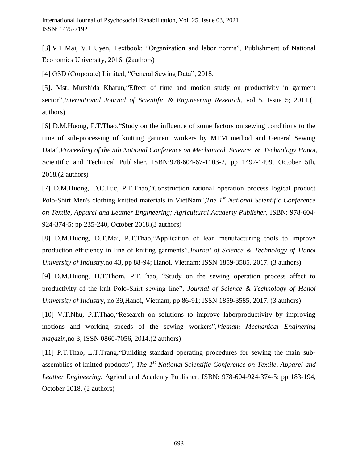[3] V.T.Mai, V.T.Uyen, Textbook: "Organization and labor norms", Publishment of National Economics University, 2016. (2authors)

[4] GSD (Corporate) Limited, "General Sewing Data", 2018.

[5]. Mst. Murshida Khatun,"Effect of time and motion study on productivity in garment sector",*International Journal of Scientific & Engineering Research*, vol 5, Issue 5; 2011.(1 authors)

[6] D.M.Huong, P.T.Thao,"Study on the influence of some factors on sewing conditions to the time of sub-processing of knitting garment workers by MTM method and General Sewing Data",*Proceeding of the 5th National Conference on Mechanical Science & Technology Hanoi*, Scientific and Technical Publisher, ISBN:978-604-67-1103-2, pp 1492-1499, October 5th, 2018.(2 authors)

[7] D.M.Huong, D.C.Luc, P.T.Thao,"Construction rational operation process logical product Polo-Shirt Men's clothing knitted materials in VietNam",*The 1st National Scientific Conference on Textile, Apparel and Leather Engineering; Agricultural Academy Publisher*, ISBN: 978-604- 924-374-5; pp 235-240, October 2018.(3 authors)

[8] D.M.Huong, D.T.Mai, P.T.Thao,"Application of lean menufacturing tools to improve production efficiency in line of kniting garments",*Journal of Science & Technology of Hanoi University of Industry,*no 43, pp 88-94; Hanoi, Vietnam; ISSN 1859-3585, 2017. (3 authors)

[9] D.M.Huong, H.T.Thom, P.T.Thao, "Study on the sewing operation process affect to productivity of the knit Polo-Shirt sewing line", *Journal of Science & Technology of Hanoi University of Industry,* no 39,Hanoi, Vietnam, pp 86-91; ISSN 1859-3585, 2017. (3 authors)

[10] V.T.Nhu, P.T.Thao,"Research on solutions to improve laborproductivity by improving motions and working speeds of the sewing workers",*Vietnam Mechanical Enginering magazin*,no 3; ISSN **0**860-7056, 2014.(2 authors)

[11] P.T.Thao, L.T.Trang,"Building standard operating procedures for sewing the main subassemblies of knitted products"; *The 1st National Scientific Conference on Textile, Apparel and Leather Engineering*, Agricultural Academy Publisher, ISBN: 978-604-924-374-5; pp 183-194, October 2018. (2 authors)